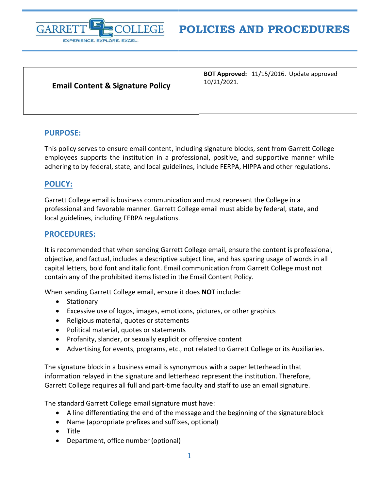

## **Email Content & Signature Policy**

**BOT Approved:** 11/15/2016. Update approved 10/21/2021.

## **PURPOSE:**

This policy serves to ensure email content, including signature blocks, sent from Garrett College employees supports the institution in a professional, positive, and supportive manner while adhering to by federal, state, and local guidelines, include FERPA, HIPPA and other regulations.

## **POLICY:**

Garrett College email is business communication and must represent the College in a professional and favorable manner. Garrett College email must abide by federal, state, and local guidelines, including FERPA regulations.

## **PROCEDURES:**

It is recommended that when sending Garrett College email, ensure the content is professional, objective, and factual, includes a descriptive subject line, and has sparing usage of words in all capital letters, bold font and italic font. Email communication from Garrett College must not contain any of the prohibited items listed in the Email Content Policy.

When sending Garrett College email, ensure it does **NOT** include:

- Stationary
- Excessive use of logos, images, emoticons, pictures, or other graphics
- Religious material, quotes or statements
- Political material, quotes or statements
- Profanity, slander, or sexually explicit or offensive content
- Advertising for events, programs, etc., not related to Garrett College or its Auxiliaries.

The signature block in a business email is synonymous with a paper letterhead in that information relayed in the signature and letterhead represent the institution. Therefore, Garrett College requires all full and part-time faculty and staff to use an email signature.

The standard Garrett College email signature must have:

- A line differentiating the end of the message and the beginning of the signature block
- Name (appropriate prefixes and suffixes, optional)
- Title
- Department, office number (optional)